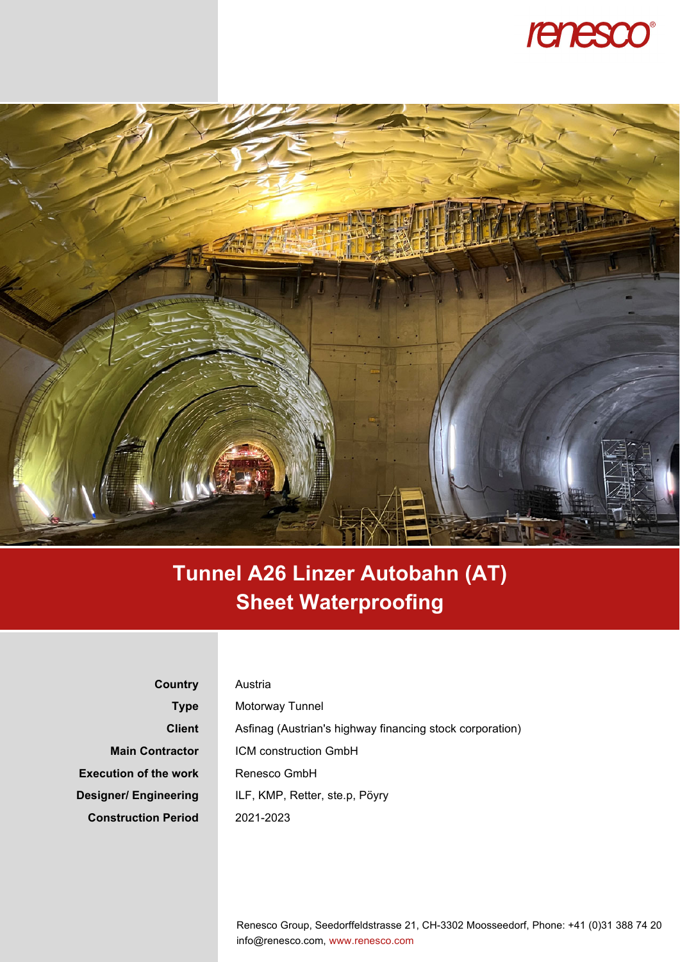



## **Tunnel A26 Linzer Autobahn (AT) Sheet Waterproofing**

**Country Type Client Main Contractor Execution of the work Designer/ Engineering Construction Period** 

## Austria Motorway Tunnel Asfinag (Austrian's highway financing stock corporation) ICM construction GmbH Renesco GmbH ILF, KMP, Retter, ste.p, Pöyry 2021-2023